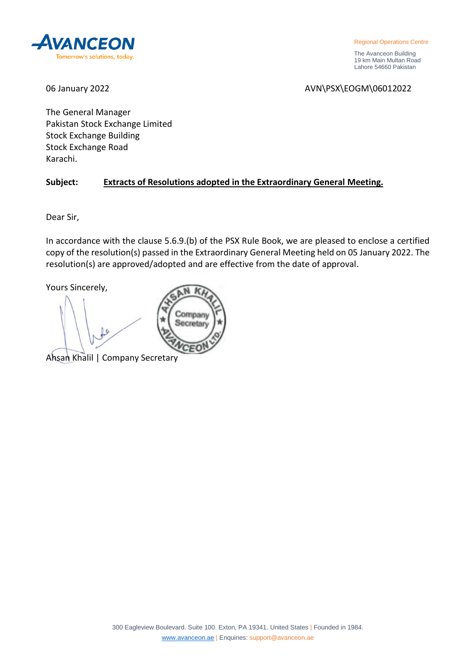

Regional Operations Centre

 The Avanceon Building 19 km Main Multan Road Lahore 54660 Pakistan

06 January 2022 2008 2009 2012 2022 2023 2024 2024 2027 2028 2029 2029 2029 2029 2029 2029 2020 2021

The General Manager Pakistan Stock Exchange Limited Stock Exchange Building Stock Exchange Road Karachi.

# **Subject: Extracts of Resolutions adopted in the Extraordinary General Meeting.**

Company Secretary

Dear Sir,

In accordance with the clause 5.6.9.(b) of the PSX Rule Book, we are pleased to enclose a certified copy of the resolution(s) passed in the Extraordinary General Meeting held on 05 January 2022. The resolution(s) are approved/adopted and are effective from the date of approval.

Yours Sincerely,

Ahsan Khalil | Company Secretary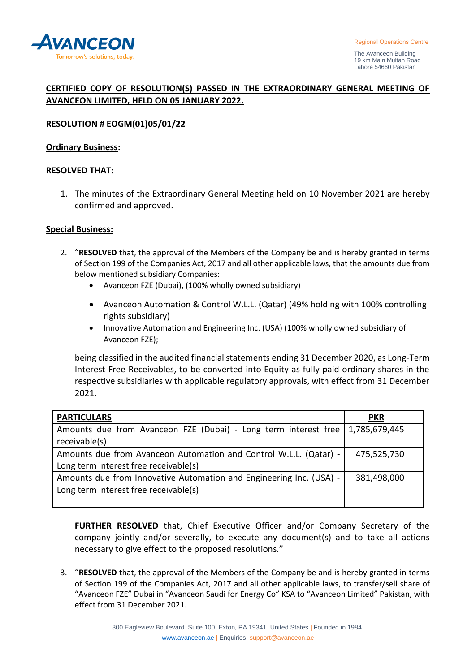

# **CERTIFIED COPY OF RESOLUTION(S) PASSED IN THE EXTRAORDINARY GENERAL MEETING OF AVANCEON LIMITED, HELD ON 05 JANUARY 2022.**

# **RESOLUTION # EOGM(01)05/01/22**

### **Ordinary Business:**

#### **RESOLVED THAT:**

1. The minutes of the Extraordinary General Meeting held on 10 November 2021 are hereby confirmed and approved.

#### **Special Business:**

- 2. "**RESOLVED** that, the approval of the Members of the Company be and is hereby granted in terms of Section 199 of the Companies Act, 2017 and all other applicable laws, that the amounts due from below mentioned subsidiary Companies:
	- Avanceon FZE (Dubai), (100% wholly owned subsidiary)
	- Avanceon Automation & Control W.L.L. (Qatar) (49% holding with 100% controlling rights subsidiary)
	- Innovative Automation and Engineering Inc. (USA) (100% wholly owned subsidiary of Avanceon FZE);

being classified in the audited financial statements ending 31 December 2020, as Long-Term Interest Free Receivables, to be converted into Equity as fully paid ordinary shares in the respective subsidiaries with applicable regulatory approvals, with effect from 31 December 2021.

| <b>PARTICULARS</b>                                                                                           | <b>PKR</b>    |
|--------------------------------------------------------------------------------------------------------------|---------------|
| Amounts due from Avanceon FZE (Dubai) - Long term interest free<br>receivable(s)                             | 1,785,679,445 |
| Amounts due from Avanceon Automation and Control W.L.L. (Qatar) -<br>Long term interest free receivable(s)   | 475,525,730   |
| Amounts due from Innovative Automation and Engineering Inc. (USA) -<br>Long term interest free receivable(s) | 381,498,000   |

**FURTHER RESOLVED** that, Chief Executive Officer and/or Company Secretary of the company jointly and/or severally, to execute any document(s) and to take all actions necessary to give effect to the proposed resolutions."

3. "**RESOLVED** that, the approval of the Members of the Company be and is hereby granted in terms of Section 199 of the Companies Act, 2017 and all other applicable laws, to transfer/sell share of "Avanceon FZE" Dubai in "Avanceon Saudi for Energy Co" KSA to "Avanceon Limited" Pakistan, with effect from 31 December 2021.